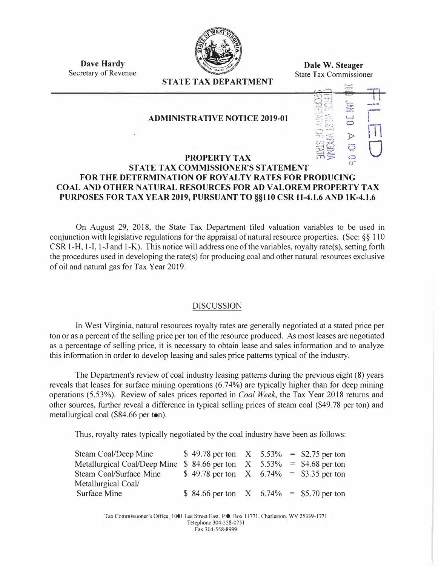

**Dale W. Steager** State Tax Commissioner

**Dave Hardy**  Secretary of Revenue

# **STATE TAX DEPARTMENT**

## **ADMINISTRATIVE NOTICE 2019-01**



### **PROPERTY TAX STATE TAX COMMISSIONER'S STATEMENT FOR THE DETERMINATION OF ROY AL TY RA TES FOR PRODUCING COAL AND OTHER NATURAL RESOURCES FOR ADV ALOREM PROPERTY TAX PURPOSES FOR TAX YEAR 2019, PURSUANT TO §§110 CSR 11-4.1.6 AND lK-4.1.6**

On August 29, 2018, the State Tax Department filed valuation variables to be used in conjunction with legislative regulations for the appraisal of natural resource properties. (See: *§§* 110 CSR 1-H, 1-I, 1-J and 1-K). This notice will address one of the variables, royalty rate(s), setting forth the procedures used in developing the rate(s) for producing coal and other natural resources exclusive of oil and natural gas for Tax Year 2019.

#### DISCUSSION

ln West Virginia, natural resources royalty rates are generally negotiated at a stated price per ton or as a percent of the selling price per ton of the resource produced. As most leases are negotiated as a percentage of selling price, it is necessary to obtain lease and sales information and to analyze this information in order to develop leasing and sales price patterns typical of the industry.

The Department's review of coal industry leasing patterns during the previous eight (8) years reveals that leases for surface mining operations (6.74%) are typically higher than for deep mining operations (5.53%). Review of sales prices reported in *Coal Week,* the Tax Year 2018 returns and other sources, further reveal a difference in typical selling prices of steam coal (\$49. 78 per ton) and metallurgical coal (\$84.66 per ton).

Thus, royalty rates typically negotiated by the coal industry have been as follows:

| Steam Coal/Deep Mine                                                     | \$49.78 per ton $X$ 5.53% = \$2.75 per ton   |  |  |
|--------------------------------------------------------------------------|----------------------------------------------|--|--|
| Metallurgical Coal/Deep Mine \$ 84.66 per ton $X$ 5.53% = \$4.68 per ton |                                              |  |  |
| Steam Coal/Surface Mine                                                  | \$49.78 per ton $X = 6.74\% = 9.35$ per ton  |  |  |
| Metallurgical Coal/                                                      |                                              |  |  |
| <b>Surface Mine</b>                                                      | \$84.66 per ton $X = 6.74\% = 55.70$ per ton |  |  |

Tax Commissioner's Office, 1001 Lee Street East, P.O. Box 11771, Charleston, WV 25339-1771 Telephone 304-558-0751 Fax 304-558-8999